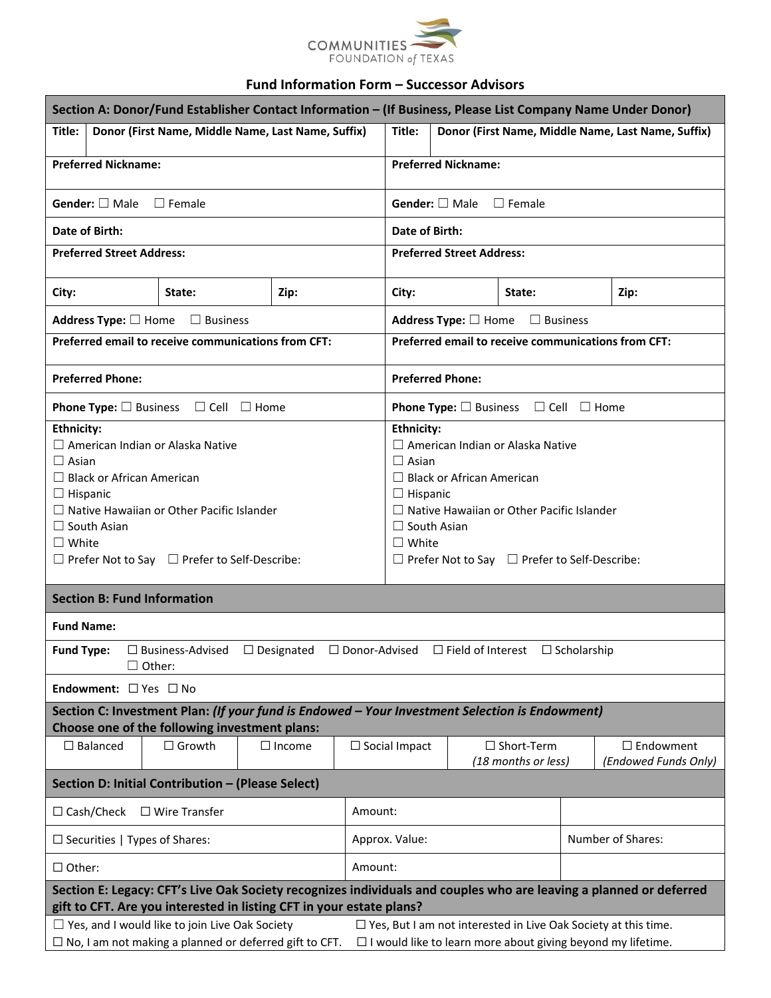

## **Fund Information Form – Successor Advisors**

| Section A: Donor/Fund Establisher Contact Information - (If Business, Please List Company Name Under Donor)                                                                                                                                                                               |               |               |  |                                                                                                                                                                                                                                                                                           |                              |                                                                     |                   |                                                                                                                    |
|-------------------------------------------------------------------------------------------------------------------------------------------------------------------------------------------------------------------------------------------------------------------------------------------|---------------|---------------|--|-------------------------------------------------------------------------------------------------------------------------------------------------------------------------------------------------------------------------------------------------------------------------------------------|------------------------------|---------------------------------------------------------------------|-------------------|--------------------------------------------------------------------------------------------------------------------|
| Donor (First Name, Middle Name, Last Name, Suffix)<br>Title:                                                                                                                                                                                                                              |               |               |  | Title:<br>Donor (First Name, Middle Name, Last Name, Suffix)                                                                                                                                                                                                                              |                              |                                                                     |                   |                                                                                                                    |
| <b>Preferred Nickname:</b>                                                                                                                                                                                                                                                                |               |               |  | <b>Preferred Nickname:</b>                                                                                                                                                                                                                                                                |                              |                                                                     |                   |                                                                                                                    |
| <b>Gender:</b> $\Box$ Male $\Box$ Female                                                                                                                                                                                                                                                  |               |               |  | <b>Gender:</b> $\Box$ Male $\Box$ Female                                                                                                                                                                                                                                                  |                              |                                                                     |                   |                                                                                                                    |
| Date of Birth:                                                                                                                                                                                                                                                                            |               |               |  | Date of Birth:                                                                                                                                                                                                                                                                            |                              |                                                                     |                   |                                                                                                                    |
| <b>Preferred Street Address:</b>                                                                                                                                                                                                                                                          |               |               |  | <b>Preferred Street Address:</b>                                                                                                                                                                                                                                                          |                              |                                                                     |                   |                                                                                                                    |
| City:                                                                                                                                                                                                                                                                                     | State:        | Zip:          |  | City:<br>State:<br>Zip:                                                                                                                                                                                                                                                                   |                              |                                                                     |                   |                                                                                                                    |
| Address Type: □ Home □ Business                                                                                                                                                                                                                                                           |               |               |  |                                                                                                                                                                                                                                                                                           | Address Type: $\square$ Home | $\Box$ Business                                                     |                   |                                                                                                                    |
| Preferred email to receive communications from CFT:                                                                                                                                                                                                                                       |               |               |  |                                                                                                                                                                                                                                                                                           |                              | Preferred email to receive communications from CFT:                 |                   |                                                                                                                    |
| <b>Preferred Phone:</b>                                                                                                                                                                                                                                                                   |               |               |  |                                                                                                                                                                                                                                                                                           | <b>Preferred Phone:</b>      |                                                                     |                   |                                                                                                                    |
| <b>Phone Type:</b> $\Box$ Business $\Box$ Cell $\Box$ Home                                                                                                                                                                                                                                |               |               |  |                                                                                                                                                                                                                                                                                           |                              | <b>Phone Type:</b> $\square$ Business $\square$ Cell $\square$ Home |                   |                                                                                                                    |
| <b>Ethnicity:</b><br>$\Box$ American Indian or Alaska Native<br>$\Box$ Asian<br>$\Box$ Black or African American<br>$\Box$ Hispanic<br>$\Box$ Native Hawaiian or Other Pacific Islander<br>$\Box$ South Asian<br>$\Box$ White<br>$\Box$ Prefer Not to Say $\Box$ Prefer to Self-Describe: |               |               |  | <b>Ethnicity:</b><br>$\Box$ American Indian or Alaska Native<br>$\Box$ Asian<br>$\Box$ Black or African American<br>$\Box$ Hispanic<br>$\Box$ Native Hawaiian or Other Pacific Islander<br>$\Box$ South Asian<br>$\Box$ White<br>$\Box$ Prefer Not to Say $\Box$ Prefer to Self-Describe: |                              |                                                                     |                   |                                                                                                                    |
| <b>Section B: Fund Information</b>                                                                                                                                                                                                                                                        |               |               |  |                                                                                                                                                                                                                                                                                           |                              |                                                                     |                   |                                                                                                                    |
| <b>Fund Name:</b>                                                                                                                                                                                                                                                                         |               |               |  |                                                                                                                                                                                                                                                                                           |                              |                                                                     |                   |                                                                                                                    |
| <b>Fund Type:</b><br>$\Box$ Business-Advised $\Box$ Designated $\Box$ Donor-Advised $\Box$ Field of Interest $\Box$ Scholarship<br>$\square$ Other:                                                                                                                                       |               |               |  |                                                                                                                                                                                                                                                                                           |                              |                                                                     |                   |                                                                                                                    |
| <b>Endowment:</b> $\Box$ Yes $\Box$ No                                                                                                                                                                                                                                                    |               |               |  |                                                                                                                                                                                                                                                                                           |                              |                                                                     |                   |                                                                                                                    |
| Section C: Investment Plan: (If your fund is Endowed - Your Investment Selection is Endowment)<br>Choose one of the following investment plans:                                                                                                                                           |               |               |  |                                                                                                                                                                                                                                                                                           |                              |                                                                     |                   |                                                                                                                    |
| $\Box$ Balanced                                                                                                                                                                                                                                                                           | $\Box$ Growth | $\Box$ Income |  | $\Box$ Short-Term<br>$\Box$ Social Impact<br>(18 months or less)                                                                                                                                                                                                                          |                              |                                                                     |                   | $\Box$ Endowment<br>(Endowed Funds Only)                                                                           |
| Section D: Initial Contribution - (Please Select)                                                                                                                                                                                                                                         |               |               |  |                                                                                                                                                                                                                                                                                           |                              |                                                                     |                   |                                                                                                                    |
| $\Box$ Cash/Check<br>$\Box$ Wire Transfer                                                                                                                                                                                                                                                 |               |               |  | Amount:                                                                                                                                                                                                                                                                                   |                              |                                                                     |                   |                                                                                                                    |
| $\Box$ Securities   Types of Shares:                                                                                                                                                                                                                                                      |               |               |  | Approx. Value:                                                                                                                                                                                                                                                                            |                              |                                                                     | Number of Shares: |                                                                                                                    |
| $\Box$ Other:                                                                                                                                                                                                                                                                             |               |               |  | Amount:                                                                                                                                                                                                                                                                                   |                              |                                                                     |                   |                                                                                                                    |
| gift to CFT. Are you interested in listing CFT in your estate plans?                                                                                                                                                                                                                      |               |               |  |                                                                                                                                                                                                                                                                                           |                              |                                                                     |                   | Section E: Legacy: CFT's Live Oak Society recognizes individuals and couples who are leaving a planned or deferred |
| $\Box$ Yes, and I would like to join Live Oak Society<br>$\Box$ No, I am not making a planned or deferred gift to CFT.                                                                                                                                                                    |               |               |  | $\Box$ Yes, But I am not interested in Live Oak Society at this time.<br>$\Box$ I would like to learn more about giving beyond my lifetime.                                                                                                                                               |                              |                                                                     |                   |                                                                                                                    |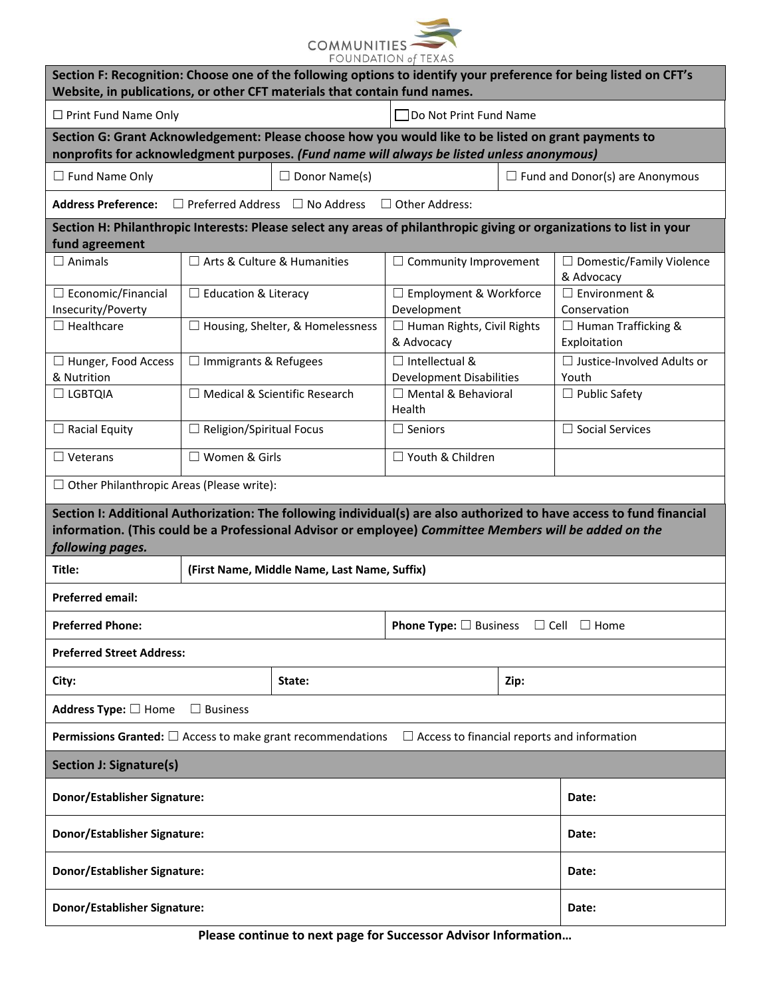

| Website, in publications, or other CFT materials that contain fund names.                                                                                                                          |                                      |                                              |                                                            |      | Section F: Recognition: Choose one of the following options to identify your preference for being listed on CFT's     |  |  |
|----------------------------------------------------------------------------------------------------------------------------------------------------------------------------------------------------|--------------------------------------|----------------------------------------------|------------------------------------------------------------|------|-----------------------------------------------------------------------------------------------------------------------|--|--|
| $\Box$ Print Fund Name Only                                                                                                                                                                        |                                      | TDo Not Print Fund Name                      |                                                            |      |                                                                                                                       |  |  |
| Section G: Grant Acknowledgement: Please choose how you would like to be listed on grant payments to<br>nonprofits for acknowledgment purposes. (Fund name will always be listed unless anonymous) |                                      |                                              |                                                            |      |                                                                                                                       |  |  |
| $\Box$ Fund Name Only                                                                                                                                                                              |                                      | $\Box$ Donor Name(s)                         |                                                            |      | $\Box$ Fund and Donor(s) are Anonymous                                                                                |  |  |
| <b>Address Preference:</b>                                                                                                                                                                         |                                      | $\Box$ Preferred Address $\Box$ No Address   | $\Box$ Other Address:                                      |      |                                                                                                                       |  |  |
| fund agreement                                                                                                                                                                                     |                                      |                                              |                                                            |      | Section H: Philanthropic Interests: Please select any areas of philanthropic giving or organizations to list in your  |  |  |
| $\Box$ Animals                                                                                                                                                                                     | □ Arts & Culture & Humanities        |                                              | $\Box$ Community Improvement                               |      | $\Box$ Domestic/Family Violence<br>& Advocacy                                                                         |  |  |
| $\Box$ Economic/Financial<br>Insecurity/Poverty                                                                                                                                                    | $\Box$ Education & Literacy          |                                              | □ Employment & Workforce<br>Development                    |      | □ Environment &<br>Conservation                                                                                       |  |  |
| $\Box$ Healthcare                                                                                                                                                                                  |                                      | $\Box$ Housing, Shelter, & Homelessness      | □ Human Rights, Civil Rights<br>& Advocacy                 |      | $\Box$ Human Trafficking &<br>Exploitation                                                                            |  |  |
| □ Hunger, Food Access<br>& Nutrition                                                                                                                                                               | $\Box$ Immigrants & Refugees         |                                              | $\Box$ Intellectual &<br><b>Development Disabilities</b>   |      | □ Justice-Involved Adults or<br>Youth                                                                                 |  |  |
| $\Box$ LGBTQIA                                                                                                                                                                                     | $\Box$ Medical & Scientific Research |                                              | $\Box$ Mental & Behavioral<br>Health                       |      | $\Box$ Public Safety                                                                                                  |  |  |
| $\Box$ Racial Equity                                                                                                                                                                               | $\Box$ Religion/Spiritual Focus      |                                              | $\Box$ Seniors                                             |      | $\Box$ Social Services                                                                                                |  |  |
| $\Box$ Veterans                                                                                                                                                                                    | □ Women & Girls                      |                                              | □ Youth & Children                                         |      |                                                                                                                       |  |  |
| $\Box$ Other Philanthropic Areas (Please write):                                                                                                                                                   |                                      |                                              |                                                            |      |                                                                                                                       |  |  |
| information. (This could be a Professional Advisor or employee) Committee Members will be added on the<br>following pages.                                                                         |                                      |                                              |                                                            |      | Section I: Additional Authorization: The following individual(s) are also authorized to have access to fund financial |  |  |
| Title:                                                                                                                                                                                             |                                      | (First Name, Middle Name, Last Name, Suffix) |                                                            |      |                                                                                                                       |  |  |
| <b>Preferred email:</b>                                                                                                                                                                            |                                      |                                              |                                                            |      |                                                                                                                       |  |  |
| <b>Preferred Phone:</b>                                                                                                                                                                            |                                      |                                              | <b>Phone Type:</b> $\Box$ Business $\Box$ Cell $\Box$ Home |      |                                                                                                                       |  |  |
| <b>Preferred Street Address:</b>                                                                                                                                                                   |                                      |                                              |                                                            |      |                                                                                                                       |  |  |
| City:                                                                                                                                                                                              |                                      | State:                                       |                                                            | Zip: |                                                                                                                       |  |  |
| Address Type: $\Box$ Home                                                                                                                                                                          | $\Box$ Business                      |                                              |                                                            |      |                                                                                                                       |  |  |
| $\Box$ Access to financial reports and information<br><b>Permissions Granted:</b> $\Box$ Access to make grant recommendations                                                                      |                                      |                                              |                                                            |      |                                                                                                                       |  |  |
| <b>Section J: Signature(s)</b>                                                                                                                                                                     |                                      |                                              |                                                            |      |                                                                                                                       |  |  |
| Donor/Establisher Signature:<br>Date:                                                                                                                                                              |                                      |                                              |                                                            |      |                                                                                                                       |  |  |
| Donor/Establisher Signature:                                                                                                                                                                       |                                      |                                              |                                                            |      | Date:                                                                                                                 |  |  |
| Donor/Establisher Signature:<br>Date:                                                                                                                                                              |                                      |                                              |                                                            |      |                                                                                                                       |  |  |
| Donor/Establisher Signature:                                                                                                                                                                       |                                      |                                              |                                                            |      | Date:                                                                                                                 |  |  |

**Please continue to next page for Successor Advisor Information…**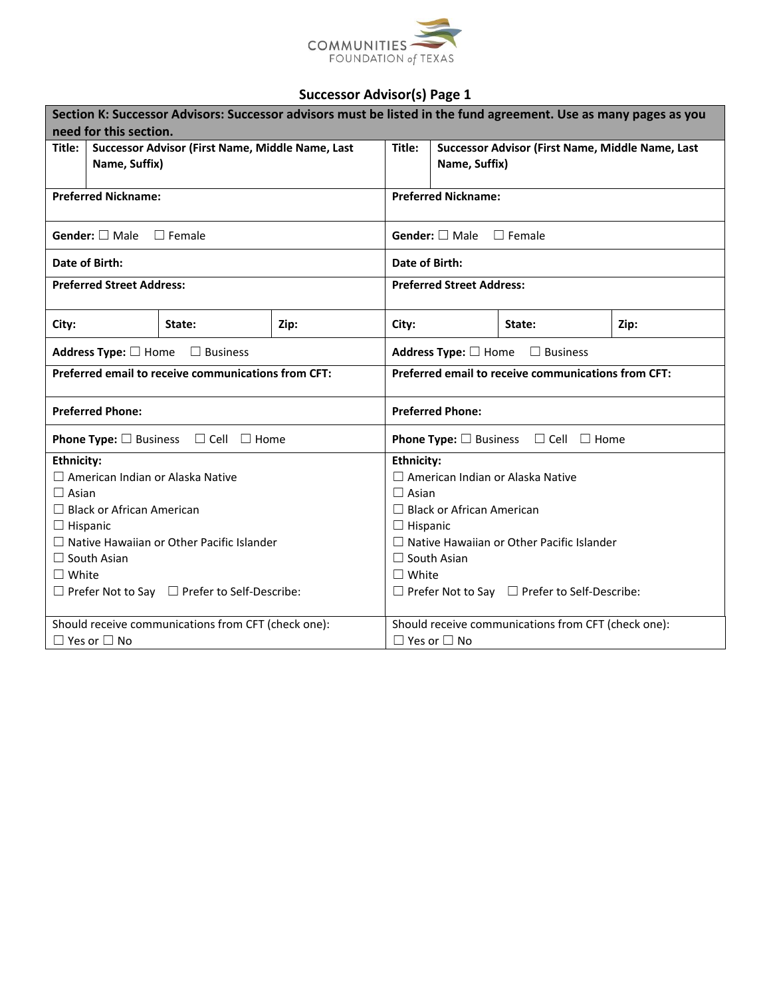

|                                                                             | Section K: Successor Advisors: Successor advisors must be listed in the fund agreement. Use as many pages as you |        |                                                                     |                                                  |  |  |  |  |
|-----------------------------------------------------------------------------|------------------------------------------------------------------------------------------------------------------|--------|---------------------------------------------------------------------|--------------------------------------------------|--|--|--|--|
| need for this section.                                                      |                                                                                                                  |        |                                                                     |                                                  |  |  |  |  |
| Successor Advisor (First Name, Middle Name, Last<br>Title:<br>Name, Suffix) |                                                                                                                  | Title: | Successor Advisor (First Name, Middle Name, Last<br>Name, Suffix)   |                                                  |  |  |  |  |
| <b>Preferred Nickname:</b>                                                  |                                                                                                                  |        | <b>Preferred Nickname:</b>                                          |                                                  |  |  |  |  |
| <b>Gender:</b> $\Box$ Male $\Box$ Female                                    |                                                                                                                  |        |                                                                     | <b>Gender:</b> $\Box$ Male $\Box$ Female         |  |  |  |  |
| Date of Birth:                                                              |                                                                                                                  |        | Date of Birth:                                                      |                                                  |  |  |  |  |
| <b>Preferred Street Address:</b>                                            |                                                                                                                  |        |                                                                     | <b>Preferred Street Address:</b>                 |  |  |  |  |
| City:                                                                       | State:                                                                                                           | Zip:   | City:<br>State:<br>Zip:                                             |                                                  |  |  |  |  |
| Address Type: $\Box$ Home $\Box$ Business                                   |                                                                                                                  |        | Address Type: $\Box$ Home $\Box$ Business                           |                                                  |  |  |  |  |
| Preferred email to receive communications from CFT:                         |                                                                                                                  |        | <b>Preferred email to receive communications from CFT:</b>          |                                                  |  |  |  |  |
| <b>Preferred Phone:</b>                                                     |                                                                                                                  |        | <b>Preferred Phone:</b>                                             |                                                  |  |  |  |  |
| <b>Phone Type:</b> $\square$ Business $\square$ Cell $\square$ Home         |                                                                                                                  |        | <b>Phone Type:</b> $\square$ Business $\square$ Cell $\square$ Home |                                                  |  |  |  |  |
| <b>Ethnicity:</b>                                                           |                                                                                                                  |        | <b>Ethnicity:</b>                                                   |                                                  |  |  |  |  |
| $\Box$ American Indian or Alaska Native                                     |                                                                                                                  |        |                                                                     | $\Box$ American Indian or Alaska Native          |  |  |  |  |
| $\Box$ Asian                                                                |                                                                                                                  |        |                                                                     | $\Box$ Asian                                     |  |  |  |  |
| $\Box$ Black or African American                                            |                                                                                                                  |        | $\Box$ Black or African American                                    |                                                  |  |  |  |  |
| $\Box$ Hispanic                                                             |                                                                                                                  |        | $\Box$ Hispanic                                                     |                                                  |  |  |  |  |
| $\Box$ Native Hawaiian or Other Pacific Islander                            |                                                                                                                  |        |                                                                     | $\Box$ Native Hawaiian or Other Pacific Islander |  |  |  |  |
| $\Box$ South Asian                                                          |                                                                                                                  |        |                                                                     | $\Box$ South Asian                               |  |  |  |  |
| $\Box$ White                                                                |                                                                                                                  |        |                                                                     | $\square$ White                                  |  |  |  |  |
| $\Box$ Prefer Not to Say $\Box$ Prefer to Self-Describe:                    |                                                                                                                  |        | $\Box$ Prefer Not to Say $\Box$ Prefer to Self-Describe:            |                                                  |  |  |  |  |
|                                                                             | Should receive communications from CFT (check one):                                                              |        | Should receive communications from CFT (check one):                 |                                                  |  |  |  |  |
| $\Box$ Yes or $\Box$ No                                                     |                                                                                                                  |        |                                                                     | $\Box$ Yes or $\Box$ No                          |  |  |  |  |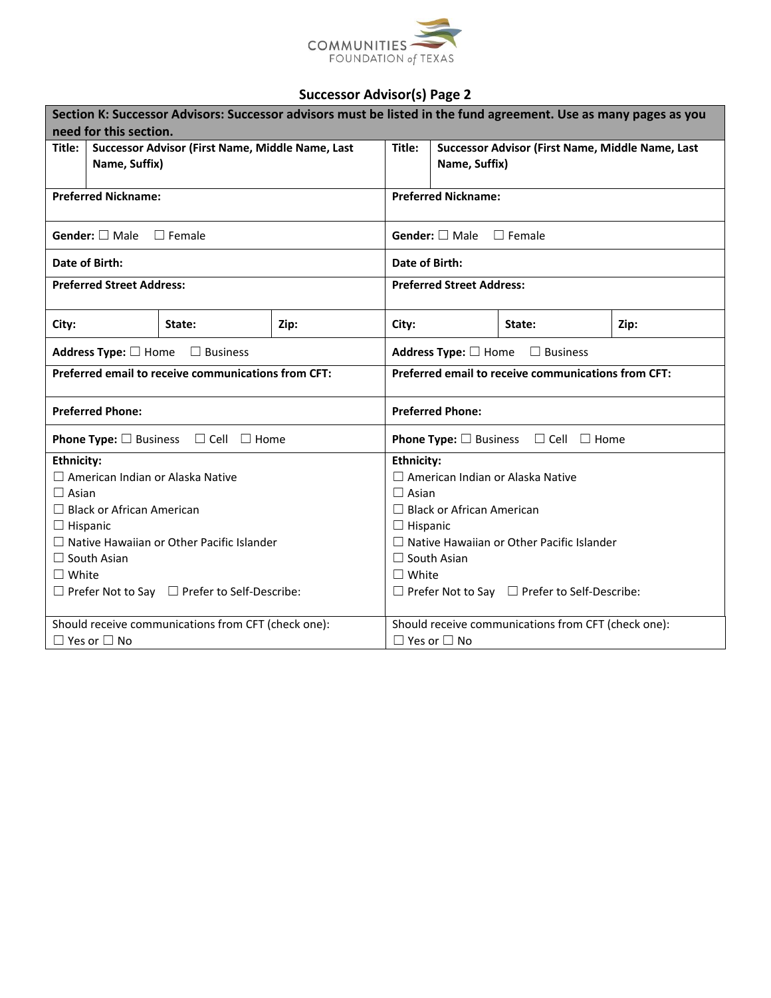

| Section K: Successor Advisors: Successor advisors must be listed in the fund agreement. Use as many pages as you |                                                     |                                                                     |                                                            |                                          |  |  |  |
|------------------------------------------------------------------------------------------------------------------|-----------------------------------------------------|---------------------------------------------------------------------|------------------------------------------------------------|------------------------------------------|--|--|--|
| need for this section.                                                                                           |                                                     |                                                                     |                                                            |                                          |  |  |  |
| Title:                                                                                                           | Successor Advisor (First Name, Middle Name, Last    |                                                                     | Title:<br>Successor Advisor (First Name, Middle Name, Last |                                          |  |  |  |
| Name, Suffix)                                                                                                    |                                                     |                                                                     |                                                            | Name, Suffix)                            |  |  |  |
| <b>Preferred Nickname:</b>                                                                                       |                                                     |                                                                     | <b>Preferred Nickname:</b>                                 |                                          |  |  |  |
|                                                                                                                  |                                                     |                                                                     |                                                            |                                          |  |  |  |
| Gender: $\square$ Male $\square$ Female                                                                          |                                                     |                                                                     |                                                            | <b>Gender:</b> $\Box$ Male $\Box$ Female |  |  |  |
| Date of Birth:                                                                                                   |                                                     |                                                                     | Date of Birth:                                             |                                          |  |  |  |
| <b>Preferred Street Address:</b>                                                                                 |                                                     |                                                                     |                                                            | <b>Preferred Street Address:</b>         |  |  |  |
| City:                                                                                                            | State:                                              | Zip:                                                                | City:<br>State:<br>Zip:                                    |                                          |  |  |  |
| Address Type: $\Box$ Home $\Box$ Business                                                                        |                                                     | Address Type: $\Box$ Home $\Box$ Business                           |                                                            |                                          |  |  |  |
|                                                                                                                  | Preferred email to receive communications from CFT: |                                                                     | Preferred email to receive communications from CFT:        |                                          |  |  |  |
| <b>Preferred Phone:</b>                                                                                          |                                                     | <b>Preferred Phone:</b>                                             |                                                            |                                          |  |  |  |
| <b>Phone Type:</b> $\square$ Business $\square$ Cell $\square$ Home                                              |                                                     | <b>Phone Type:</b> $\square$ Business $\square$ Cell $\square$ Home |                                                            |                                          |  |  |  |
| <b>Ethnicity:</b>                                                                                                |                                                     |                                                                     | <b>Ethnicity:</b>                                          |                                          |  |  |  |
| $\Box$ American Indian or Alaska Native                                                                          |                                                     |                                                                     | $\Box$ American Indian or Alaska Native                    |                                          |  |  |  |
| $\Box$ Asian                                                                                                     |                                                     |                                                                     | $\Box$ Asian                                               |                                          |  |  |  |
| $\Box$ Black or African American                                                                                 |                                                     |                                                                     | $\Box$ Black or African American                           |                                          |  |  |  |
| $\Box$ Hispanic                                                                                                  |                                                     |                                                                     | $\Box$ Hispanic                                            |                                          |  |  |  |
| $\Box$ Native Hawaiian or Other Pacific Islander                                                                 |                                                     |                                                                     | $\Box$ Native Hawaiian or Other Pacific Islander           |                                          |  |  |  |
| $\Box$ South Asian                                                                                               |                                                     |                                                                     | $\Box$ South Asian                                         |                                          |  |  |  |
| $\Box$ White                                                                                                     |                                                     |                                                                     | $\Box$ White                                               |                                          |  |  |  |
| $\Box$ Prefer Not to Say $\Box$ Prefer to Self-Describe:                                                         |                                                     | $\Box$ Prefer Not to Say $\Box$ Prefer to Self-Describe:            |                                                            |                                          |  |  |  |
|                                                                                                                  | Should receive communications from CFT (check one): |                                                                     | Should receive communications from CFT (check one):        |                                          |  |  |  |
| $\Box$ Yes or $\Box$ No                                                                                          |                                                     |                                                                     | $\Box$ Yes or $\Box$ No                                    |                                          |  |  |  |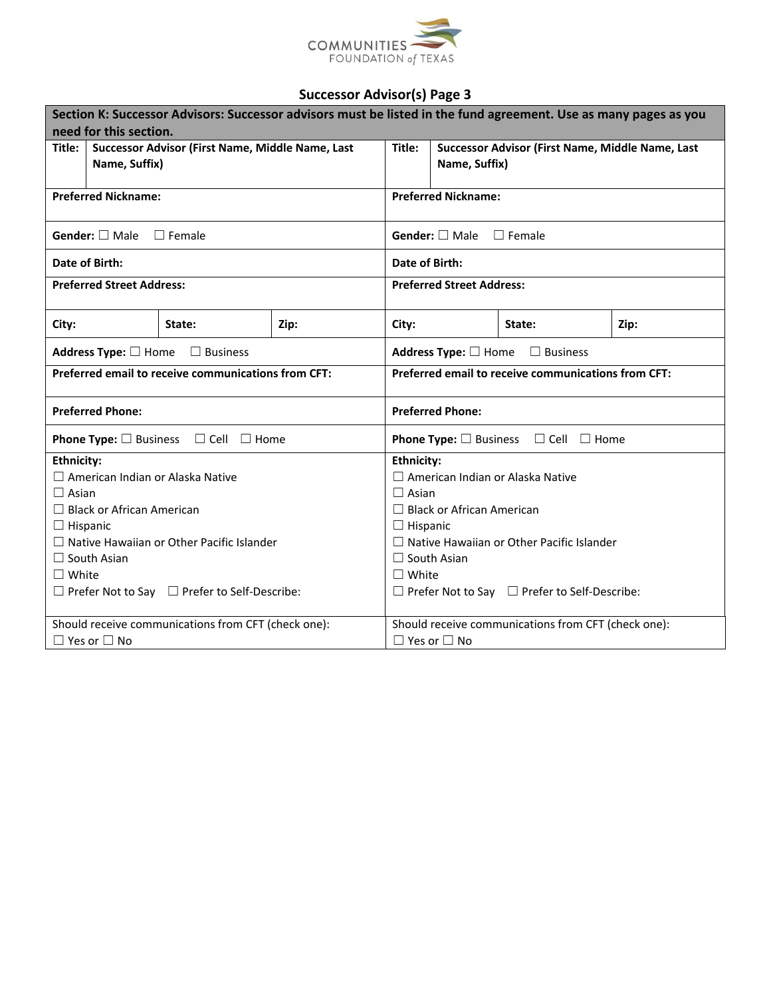

| Section K: Successor Advisors: Successor advisors must be listed in the fund agreement. Use as many pages as you |                                                          |                                                                     |                                                            |                                          |  |  |  |
|------------------------------------------------------------------------------------------------------------------|----------------------------------------------------------|---------------------------------------------------------------------|------------------------------------------------------------|------------------------------------------|--|--|--|
| need for this section.                                                                                           |                                                          |                                                                     |                                                            |                                          |  |  |  |
| Title:                                                                                                           | Successor Advisor (First Name, Middle Name, Last         |                                                                     | Title:<br>Successor Advisor (First Name, Middle Name, Last |                                          |  |  |  |
| Name, Suffix)                                                                                                    |                                                          |                                                                     |                                                            | Name, Suffix)                            |  |  |  |
| <b>Preferred Nickname:</b>                                                                                       |                                                          |                                                                     | <b>Preferred Nickname:</b>                                 |                                          |  |  |  |
|                                                                                                                  |                                                          |                                                                     |                                                            |                                          |  |  |  |
| Gender: $\square$ Male $\square$ Female                                                                          |                                                          |                                                                     |                                                            | <b>Gender:</b> $\Box$ Male $\Box$ Female |  |  |  |
| Date of Birth:                                                                                                   |                                                          |                                                                     | Date of Birth:                                             |                                          |  |  |  |
| <b>Preferred Street Address:</b>                                                                                 |                                                          |                                                                     |                                                            | <b>Preferred Street Address:</b>         |  |  |  |
| City:                                                                                                            | State:                                                   | Zip:                                                                | City:<br>State:<br>Zip:                                    |                                          |  |  |  |
| Address Type: $\Box$ Home $\Box$ Business                                                                        |                                                          | Address Type: $\Box$ Home $\Box$ Business                           |                                                            |                                          |  |  |  |
| Preferred email to receive communications from CFT:                                                              |                                                          | <b>Preferred email to receive communications from CFT:</b>          |                                                            |                                          |  |  |  |
| <b>Preferred Phone:</b>                                                                                          |                                                          | <b>Preferred Phone:</b>                                             |                                                            |                                          |  |  |  |
| <b>Phone Type:</b> $\square$ Business $\square$ Cell $\square$ Home                                              |                                                          | <b>Phone Type:</b> $\square$ Business $\square$ Cell $\square$ Home |                                                            |                                          |  |  |  |
| <b>Ethnicity:</b>                                                                                                |                                                          |                                                                     | <b>Ethnicity:</b>                                          |                                          |  |  |  |
| $\Box$ American Indian or Alaska Native                                                                          |                                                          |                                                                     | $\Box$ American Indian or Alaska Native                    |                                          |  |  |  |
| $\Box$ Asian                                                                                                     |                                                          |                                                                     | $\Box$ Asian                                               |                                          |  |  |  |
| $\Box$ Black or African American                                                                                 |                                                          |                                                                     | $\Box$ Black or African American                           |                                          |  |  |  |
| $\Box$ Hispanic                                                                                                  |                                                          |                                                                     | $\Box$ Hispanic                                            |                                          |  |  |  |
| $\Box$ Native Hawaiian or Other Pacific Islander                                                                 |                                                          |                                                                     | $\Box$ Native Hawaiian or Other Pacific Islander           |                                          |  |  |  |
| $\Box$ South Asian                                                                                               |                                                          |                                                                     | $\Box$ South Asian                                         |                                          |  |  |  |
| $\Box$ White                                                                                                     |                                                          |                                                                     | $\Box$ White                                               |                                          |  |  |  |
|                                                                                                                  | $\Box$ Prefer Not to Say $\Box$ Prefer to Self-Describe: |                                                                     | $\Box$ Prefer Not to Say $\Box$ Prefer to Self-Describe:   |                                          |  |  |  |
|                                                                                                                  | Should receive communications from CFT (check one):      |                                                                     | Should receive communications from CFT (check one):        |                                          |  |  |  |
| $\Box$ Yes or $\Box$ No                                                                                          |                                                          |                                                                     | $\Box$ Yes or $\Box$ No                                    |                                          |  |  |  |